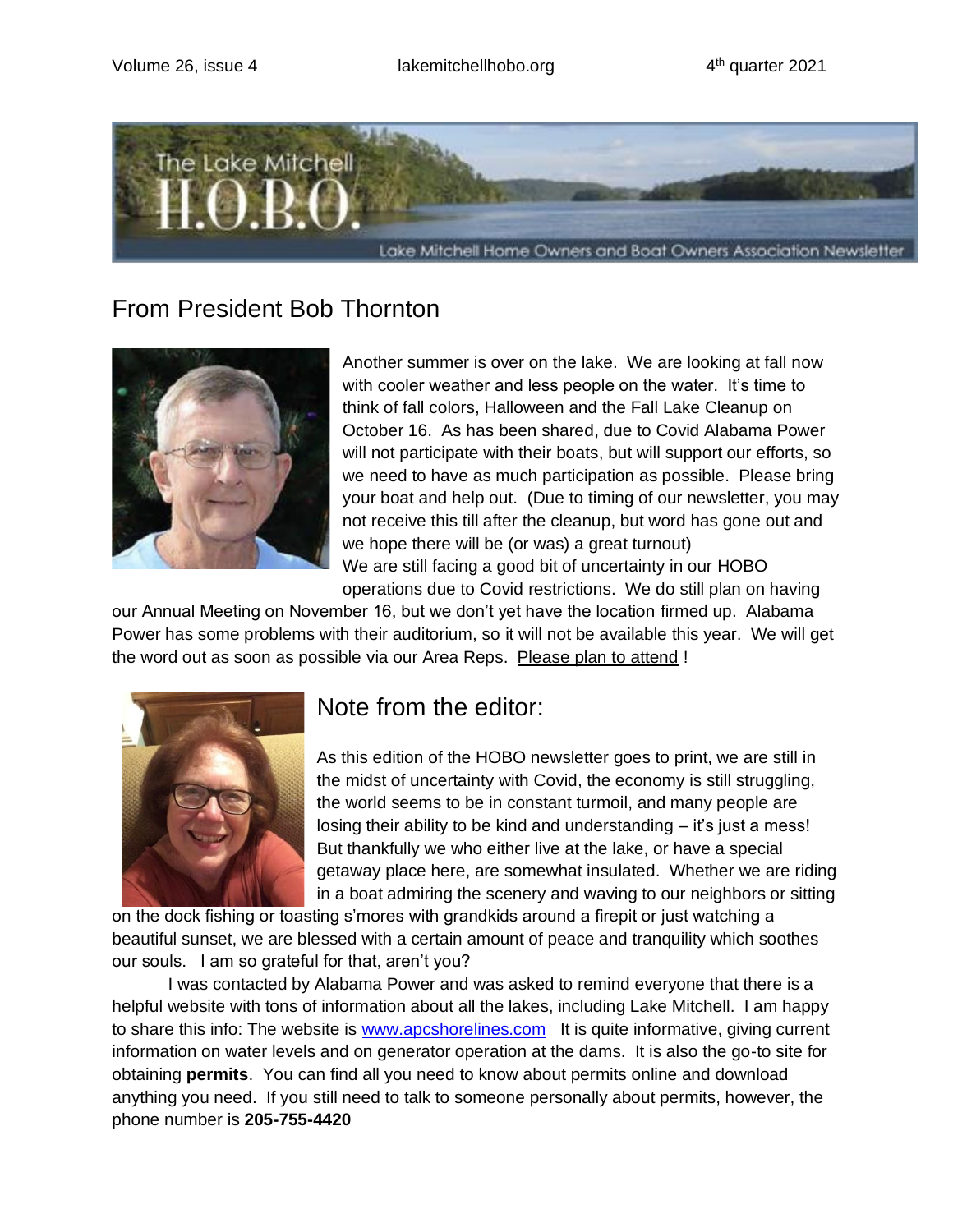

# From President Bob Thornton



Another summer is over on the lake. We are looking at fall now with cooler weather and less people on the water. It's time to think of fall colors, Halloween and the Fall Lake Cleanup on October 16. As has been shared, due to Covid Alabama Power will not participate with their boats, but will support our efforts, so we need to have as much participation as possible. Please bring your boat and help out. (Due to timing of our newsletter, you may not receive this till after the cleanup, but word has gone out and we hope there will be (or was) a great turnout) We are still facing a good bit of uncertainty in our HOBO operations due to Covid restrictions. We do still plan on having

our Annual Meeting on November 16, but we don't yet have the location firmed up. Alabama Power has some problems with their auditorium, so it will not be available this year. We will get the word out as soon as possible via our Area Reps. Please plan to attend !



# Note from the editor:

As this edition of the HOBO newsletter goes to print, we are still in the midst of uncertainty with Covid, the economy is still struggling, the world seems to be in constant turmoil, and many people are losing their ability to be kind and understanding – it's just a mess! But thankfully we who either live at the lake, or have a special getaway place here, are somewhat insulated. Whether we are riding in a boat admiring the scenery and waving to our neighbors or sitting

on the dock fishing or toasting s'mores with grandkids around a firepit or just watching a beautiful sunset, we are blessed with a certain amount of peace and tranquility which soothes our souls. I am so grateful for that, aren't you?

I was contacted by Alabama Power and was asked to remind everyone that there is a helpful website with tons of information about all the lakes, including Lake Mitchell. I am happy to share this info: The website is [www.apcshorelines.com](http://www.apcshorelines.com/) It is quite informative, giving current information on water levels and on generator operation at the dams. It is also the go-to site for obtaining **permits**. You can find all you need to know about permits online and download anything you need. If you still need to talk to someone personally about permits, however, the phone number is **205-755-4420**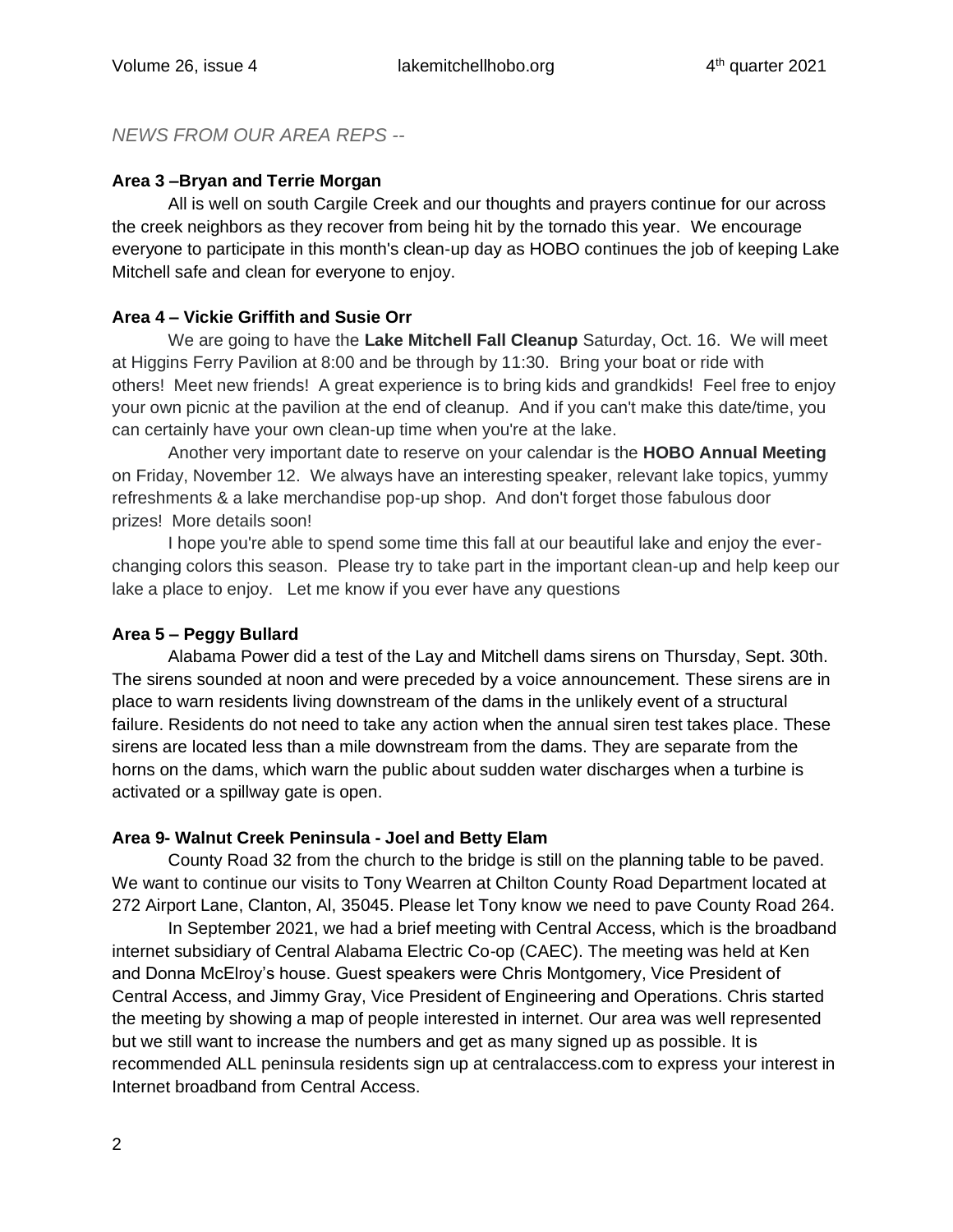# *NEWS FROM OUR AREA REPS --*

### **Area 3 –Bryan and Terrie Morgan**

All is well on south Cargile Creek and our thoughts and prayers continue for our across the creek neighbors as they recover from being hit by the tornado this year. We encourage everyone to participate in this month's clean-up day as HOBO continues the job of keeping Lake Mitchell safe and clean for everyone to enjoy.

## **Area 4 – Vickie Griffith and Susie Orr**

We are going to have the **Lake Mitchell Fall Cleanup** Saturday, Oct. 16. We will meet at Higgins Ferry Pavilion at 8:00 and be through by 11:30. Bring your boat or ride with others! Meet new friends! A great experience is to bring kids and grandkids! Feel free to enjoy your own picnic at the pavilion at the end of cleanup. And if you can't make this date/time, you can certainly have your own clean-up time when you're at the lake.

Another very important date to reserve on your calendar is the **HOBO Annual Meeting** on Friday, November 12. We always have an interesting speaker, relevant lake topics, yummy refreshments & a lake merchandise pop-up shop. And don't forget those fabulous door prizes! More details soon!

I hope you're able to spend some time this fall at our beautiful lake and enjoy the everchanging colors this season. Please try to take part in the important clean-up and help keep our lake a place to enjoy. Let me know if you ever have any questions

### **Area 5 – Peggy Bullard**

Alabama Power did a test of the Lay and Mitchell dams sirens on Thursday, Sept. 30th. The sirens sounded at noon and were preceded by a voice announcement. These sirens are in place to warn residents living downstream of the dams in the unlikely event of a structural failure. Residents do not need to take any action when the annual siren test takes place. These sirens are located less than a mile downstream from the dams. They are separate from the horns on the dams, which warn the public about sudden water discharges when a turbine is activated or a spillway gate is open.

### **Area 9- Walnut Creek Peninsula - Joel and Betty Elam**

County Road 32 from the church to the bridge is still on the planning table to be paved. We want to continue our visits to Tony Wearren at Chilton County Road Department located at 272 Airport Lane, Clanton, Al, 35045. Please let Tony know we need to pave County Road 264.

In September 2021, we had a brief meeting with Central Access, which is the broadband internet subsidiary of Central Alabama Electric Co-op (CAEC). The meeting was held at Ken and Donna McElroy's house. Guest speakers were Chris Montgomery, Vice President of Central Access, and Jimmy Gray, Vice President of Engineering and Operations. Chris started the meeting by showing a map of people interested in internet. Our area was well represented but we still want to increase the numbers and get as many signed up as possible. It is recommended ALL peninsula residents sign up at centralaccess.com to express your interest in Internet broadband from Central Access.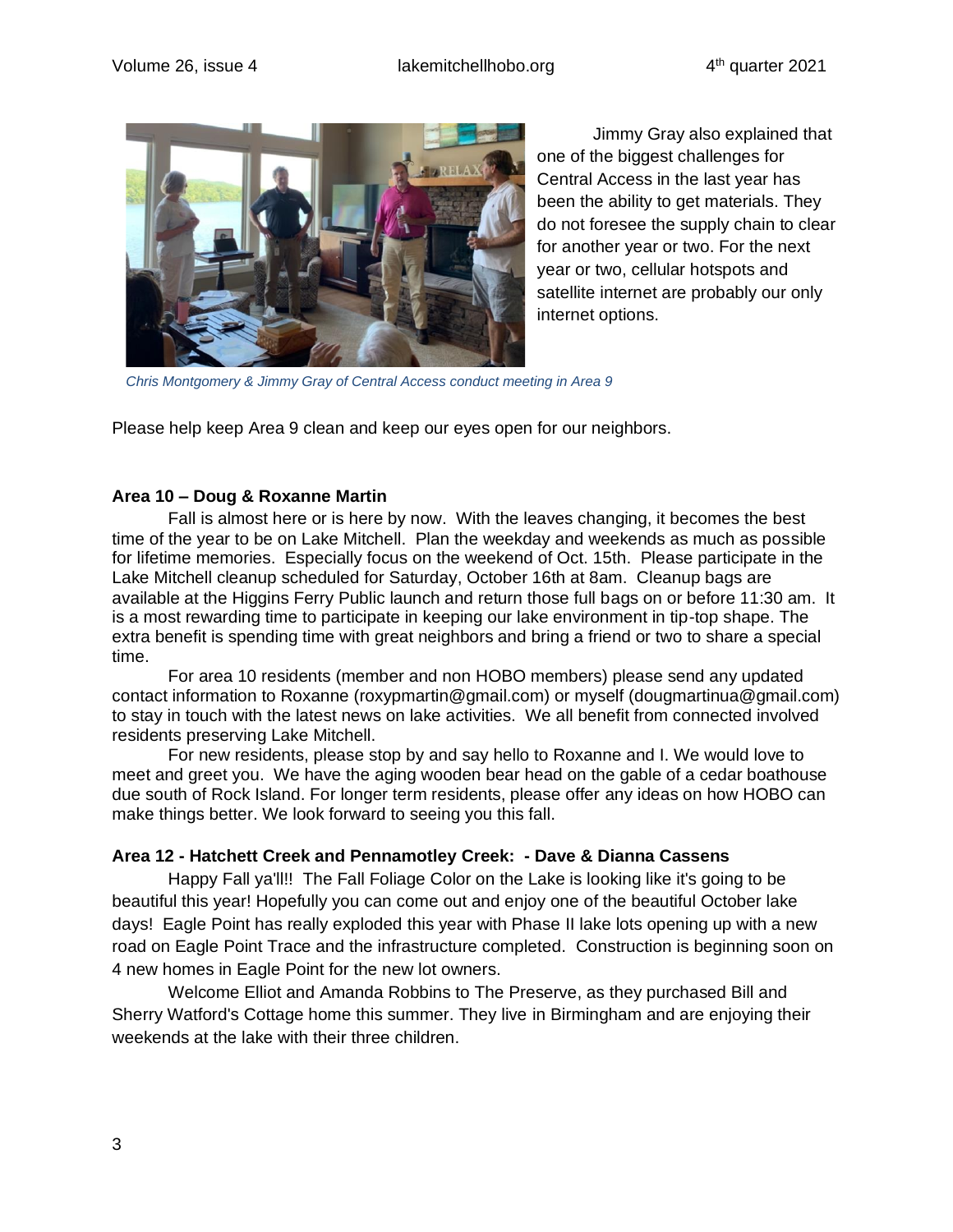

Jimmy Gray also explained that one of the biggest challenges for Central Access in the last year has been the ability to get materials. They do not foresee the supply chain to clear for another year or two. For the next year or two, cellular hotspots and satellite internet are probably our only internet options.

*Chris Montgomery & Jimmy Gray of Central Access conduct meeting in Area 9*

Please help keep Area 9 clean and keep our eyes open for our neighbors.

#### **Area 10 – Doug & Roxanne Martin**

Fall is almost here or is here by now. With the leaves changing, it becomes the best time of the year to be on Lake Mitchell. Plan the weekday and weekends as much as possible for lifetime memories. Especially focus on the weekend of Oct. 15th. Please participate in the Lake Mitchell cleanup scheduled for Saturday, October 16th at 8am. Cleanup bags are available at the Higgins Ferry Public launch and return those full bags on or before 11:30 am. It is a most rewarding time to participate in keeping our lake environment in tip-top shape. The extra benefit is spending time with great neighbors and bring a friend or two to share a special time.

For area 10 residents (member and non HOBO members) please send any updated contact information to Roxanne (roxypmartin@gmail.com) or myself (dougmartinua@gmail.com) to stay in touch with the latest news on lake activities. We all benefit from connected involved residents preserving Lake Mitchell.

For new residents, please stop by and say hello to Roxanne and I. We would love to meet and greet you. We have the aging wooden bear head on the gable of a cedar boathouse due south of Rock Island. For longer term residents, please offer any ideas on how HOBO can make things better. We look forward to seeing you this fall.

#### **Area 12 - Hatchett Creek and Pennamotley Creek: - Dave & Dianna Cassens**

Happy Fall ya'll!! The Fall Foliage Color on the Lake is looking like it's going to be beautiful this year! Hopefully you can come out and enjoy one of the beautiful October lake days! Eagle Point has really exploded this year with Phase II lake lots opening up with a new road on Eagle Point Trace and the infrastructure completed. Construction is beginning soon on 4 new homes in Eagle Point for the new lot owners.

Welcome Elliot and Amanda Robbins to The Preserve, as they purchased Bill and Sherry Watford's Cottage home this summer. They live in Birmingham and are enjoying their weekends at the lake with their three children.